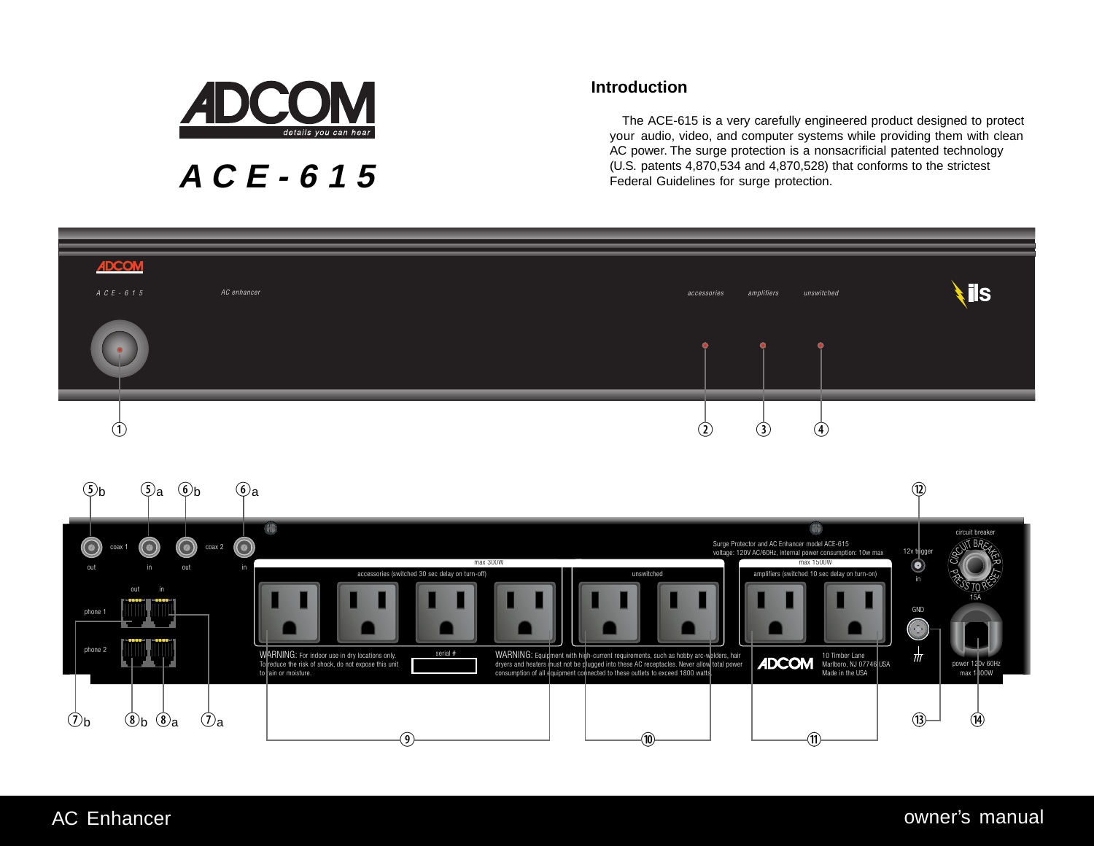

**ACE-615**

# **Introduction**

The ACE-615 is a very carefully engineered product designed to protect your audio, video, and computer systems while providing them with clean AC power. The surge protection is a nonsacrificial patented technology (U.S. patents 4,870,534 and 4,870,528) that conforms to the strictest Federal Guidelines for surge protection.

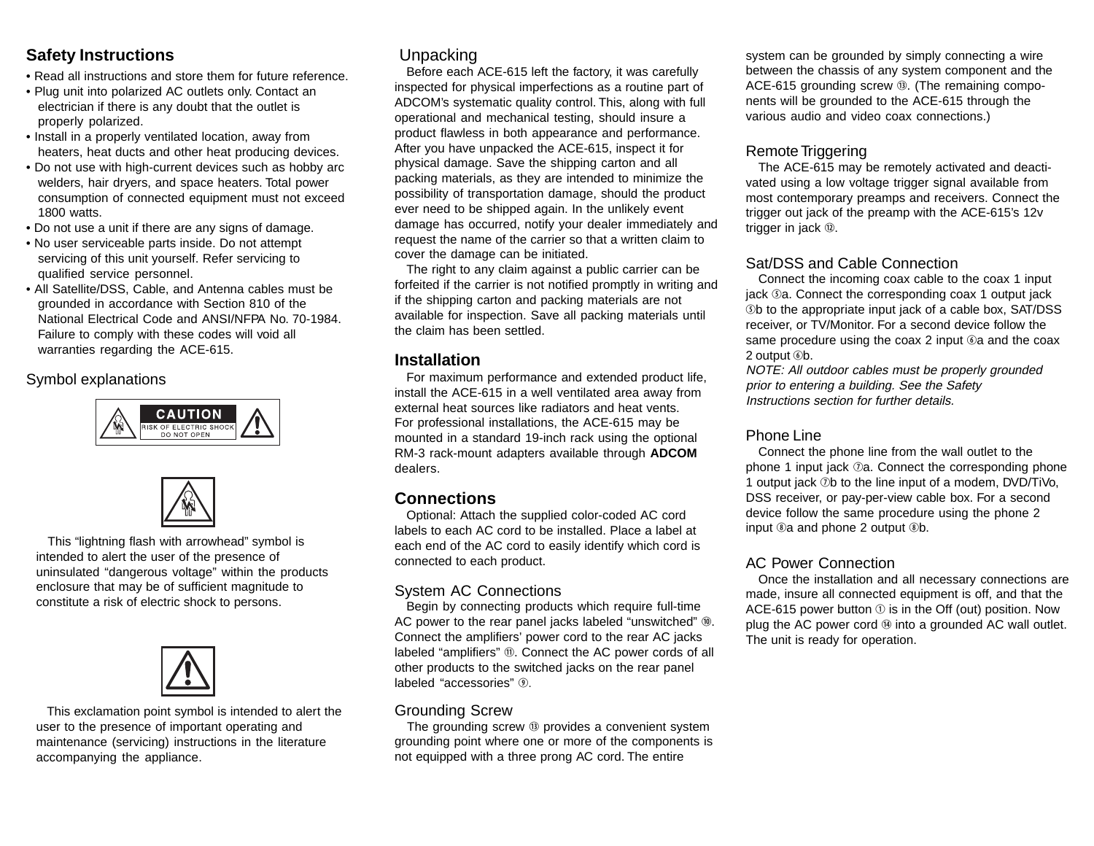# **Safety Instructions**

- Read all instructions and store them for future reference.
- Plug unit into polarized AC outlets only. Contact an electrician if there is any doubt that the outlet is properly polarized.
- Install in a properly ventilated location, away from heaters, heat ducts and other heat producing devices.
- Do not use with high-current devices such as hobby arc welders, hair dryers, and space heaters. Total power consumption of connected equipment must not exceed 1800 watts.
- Do not use a unit if there are any signs of damage.
- No user serviceable parts inside. Do not attempt servicing of this unit yourself. Refer servicing to qualified service personnel.
- All Satellite/DSS, Cable, and Antenna cables must be grounded in accordance with Section 810 of the National Electrical Code and ANSI/NFPA No. 70-1984. Failure to comply with these codes will void all warranties regarding the ACE-615.

## Symbol explanations





 This "lightning flash with arrowhead" symbol is intended to alert the user of the presence of uninsulated "dangerous voltage" within the products enclosure that may be of sufficient magnitude to constitute a risk of electric shock to persons.



 This exclamation point symbol is intended to alert the user to the presence of important operating and maintenance (servicing) instructions in the literature accompanying the appliance.

# Unpacking

Before each ACE-615 left the factory, it was carefully inspected for physical imperfections as a routine part of ADCOM's systematic quality control. This, along with full operational and mechanical testing, should insure a product flawless in both appearance and performance. After you have unpacked the ACE-615, inspect it for physical damage. Save the shipping carton and all packing materials, as they are intended to minimize the possibility of transportation damage, should the product ever need to be shipped again. In the unlikely event damage has occurred, notify your dealer immediately and request the name of the carrier so that a written claim to cover the damage can be initiated.

The right to any claim against a public carrier can be forfeited if the carrier is not notified promptly in writing and if the shipping carton and packing materials are not available for inspection. Save all packing materials until the claim has been settled.

## **Installation**

For maximum performance and extended product life, install the ACE-615 in a well ventilated area away from external heat sources like radiators and heat vents. For professional installations, the ACE-615 may be mounted in a standard 19-inch rack using the optional RM-3 rack-mount adapters available through **ADCOM** dealers.

# **Connections**

Optional: Attach the supplied color-coded AC cord labels to each AC cord to be installed. Place a label at each end of the AC cord to easily identify which cord is connected to each product.

#### System AC Connections

Begin by connecting products which require full-time AC power to the rear panel jacks labeled "unswitched"  $@.$ Connect the amplifiers' power cord to the rear AC jacks labeled "amplifiers"  $@.$  Connect the AC power cords of all other products to the switched jacks on the rear panel labeled "accessories"  $\circledR$ .

## Grounding Screw

The grounding screw  $\mathcal{B}$  provides a convenient system grounding point where one or more of the components is not equipped with a three prong AC cord. The entire

system can be grounded by simply connecting a wire between the chassis of any system component and the ACE-615 grounding screw  $\circled{B}$ . (The remaining components will be grounded to the ACE-615 through the various audio and video coax connections.)

## Remote Triggering

The ACE-615 may be remotely activated and deactivated using a low voltage trigger signal available from most contemporary preamps and receivers. Connect the trigger out jack of the preamp with the ACE-615's 12v trigger in jack  $@.$ 

## Sat/DSS and Cable Connection

Connect the incoming coax cable to the coax 1 input jack **Ta. Connect the corresponding coax 1 output jack Sb to the appropriate input jack of a cable box, SAT/DSS** receiver, or TV/Monitor. For a second device follow the same procedure using the coax 2 input  $@a$  and the coax 2 output *Ob.* 

NOTE: All outdoor cables must be properly grounded prior to entering a building. See the Safety Instructions section for further details.

#### Phone Line

Connect the phone line from the wall outlet to the phone 1 input jack  $\mathcal{D}a$ . Connect the corresponding phone 1 output jack  $\oslash b$  to the line input of a modem, DVD/TiVo, DSS receiver, or pay-per-view cable box. For a second device follow the same procedure using the phone 2 input  $@a$  and phone 2 output  $@b$ .

#### AC Power Connection

Once the installation and all necessary connections are made, insure all connected equipment is off, and that the ACE-615 power button  $\odot$  is in the Off (out) position. Now plug the AC power cord  $\omega$  into a grounded AC wall outlet. The unit is ready for operation.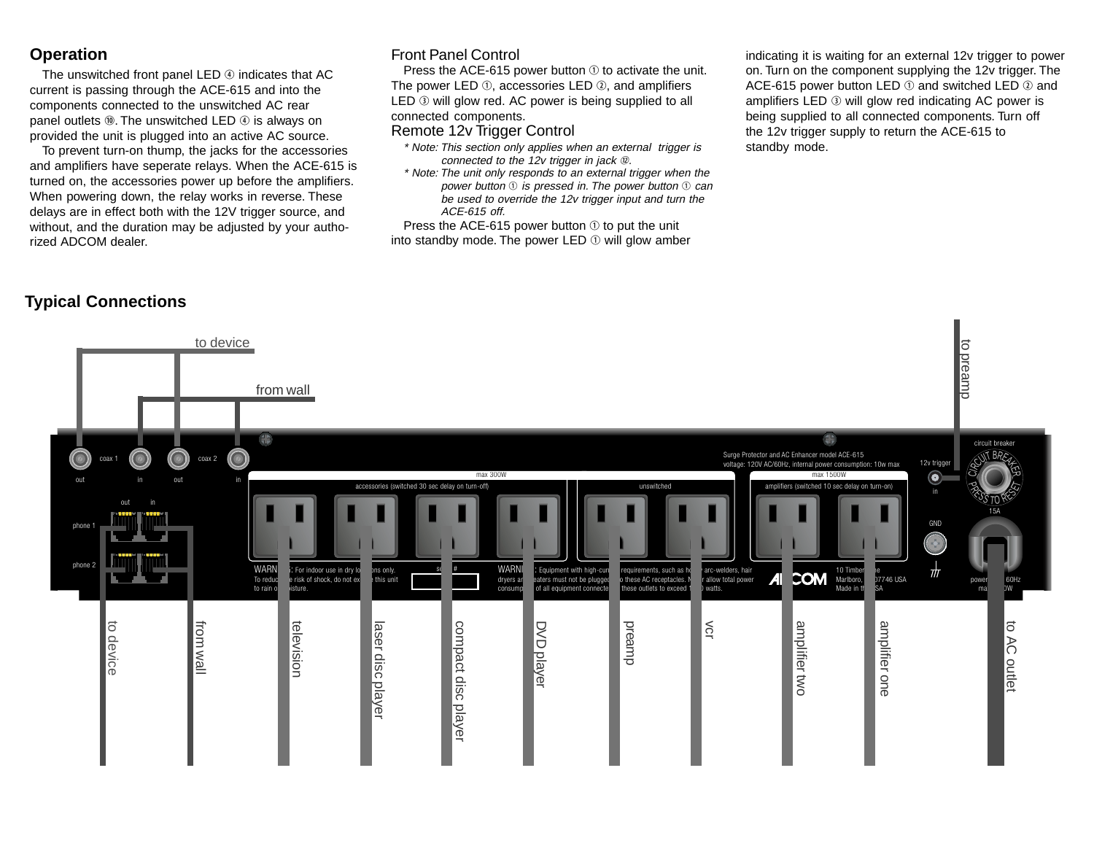## **Operation**

The unswitched front panel LED  $\circledA$  indicates that AC current is passing through the ACE-615 and into the components connected to the unswitched AC rear panel outlets  $@.$  The unswitched LED  $@.$  is always on provided the unit is plugged into an active AC source.

To prevent turn-on thump, the jacks for the accessories and amplifiers have seperate relays. When the ACE-615 is turned on, the accessories power up before the amplifiers. When powering down, the relay works in reverse. These delays are in effect both with the 12V trigger source, and without, and the duration may be adjusted by your authorized ADCOM dealer.

#### Front Panel Control

Press the ACE-615 power button  $\odot$  to activate the unit. The power LED  $\Phi$ , accessories LED  $\Phi$ , and amplifiers LED  $\odot$  will glow red. AC power is being supplied to all connected components.

#### Remote 12v Trigger Control

- \* Note: This section only applies when an external trigger is connected to the 12v trigger in jack  $$\mathcal{D}$ .$
- \* Note: The unit only responds to an external trigger when the power button  $\mathbb O$  is pressed in. The power button  $\mathbb O$  can be used to override the 12v trigger input and turn the ACE-615 off.

Press the ACE-615 power button  $\odot$  to put the unit into standby mode. The power LED  $\odot$  will glow amber indicating it is waiting for an external 12v trigger to power on. Turn on the component supplying the 12v trigger. The ACE-615 power button LED  $\odot$  and switched LED  $\odot$  and amplifiers LED  $\odot$  will glow red indicating AC power is being supplied to all connected components. Turn off the 12v trigger supply to return the ACE-615 to standby mode.